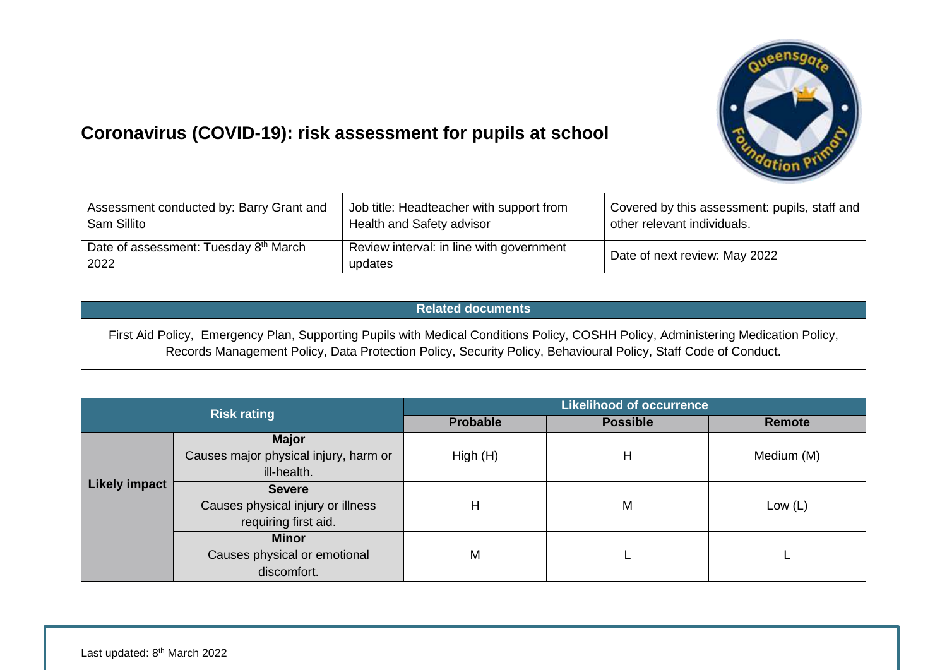

## **Coronavirus (COVID-19): risk assessment for pupils at school**

| Assessment conducted by: Barry Grant and                  | Job title: Headteacher with support from            | Covered by this assessment: pupils, staff and |
|-----------------------------------------------------------|-----------------------------------------------------|-----------------------------------------------|
| Sam Sillito                                               | Health and Safety advisor                           | other relevant individuals.                   |
| Date of assessment: Tuesday 8 <sup>th</sup> March<br>2022 | Review interval: in line with government<br>updates | Date of next review: May 2022                 |

## **Related documents**

First Aid Policy, Emergency Plan, Supporting Pupils with Medical Conditions Policy, COSHH Policy, Administering Medication Policy, Records Management Policy, Data Protection Policy, Security Policy, Behavioural Policy, Staff Code of Conduct.

|                      | <b>Risk rating</b>                               | <b>Likelihood of occurrence</b> |                 |               |  |  |  |  |
|----------------------|--------------------------------------------------|---------------------------------|-----------------|---------------|--|--|--|--|
|                      |                                                  | <b>Probable</b>                 | <b>Possible</b> | <b>Remote</b> |  |  |  |  |
|                      | <b>Major</b>                                     |                                 |                 |               |  |  |  |  |
| <b>Likely impact</b> | Causes major physical injury, harm or<br>High(H) |                                 | Н               | Medium (M)    |  |  |  |  |
|                      | ill-health.                                      |                                 |                 |               |  |  |  |  |
|                      | <b>Severe</b>                                    |                                 |                 |               |  |  |  |  |
|                      | Causes physical injury or illness                | Н                               | M               | Low $(L)$     |  |  |  |  |
|                      | requiring first aid.                             |                                 |                 |               |  |  |  |  |
|                      | <b>Minor</b>                                     |                                 |                 |               |  |  |  |  |
|                      | Causes physical or emotional                     | M                               |                 |               |  |  |  |  |
|                      | discomfort.                                      |                                 |                 |               |  |  |  |  |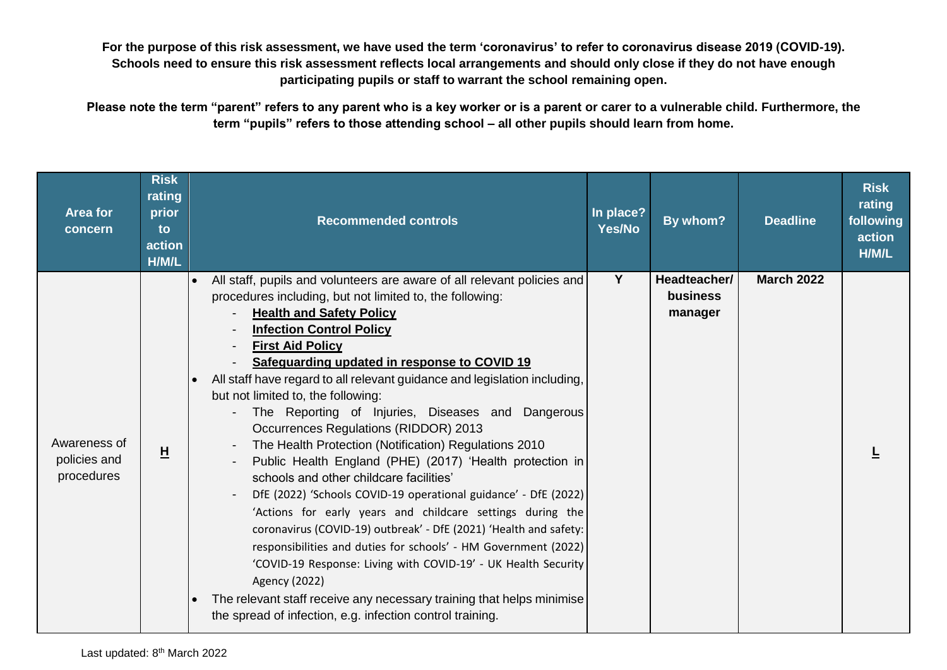**For the purpose of this risk assessment, we have used the term 'coronavirus' to refer to coronavirus disease 2019 (COVID-19). Schools need to ensure this risk assessment reflects local arrangements and should only close if they do not have enough participating pupils or staff to warrant the school remaining open.**

**Please note the term "parent" refers to any parent who is a key worker or is a parent or carer to a vulnerable child. Furthermore, the term "pupils" refers to those attending school – all other pupils should learn from home.** 

| Area for<br>concern                        | <b>Risk</b><br>rating<br>prior<br>to<br>action<br>H/M/L | <b>Recommended controls</b>                                                                                                                                                                                                                                                                                                                                                                                                                                                                                                                                                                                                                                                                                                                                                                                                                                                                                                                                                                                                                                                                                                                                                                              | In place?<br><b>Yes/No</b> | By whom?                            | <b>Deadline</b>   | <b>Risk</b><br>rating<br>following<br>action<br>H/M/L |
|--------------------------------------------|---------------------------------------------------------|----------------------------------------------------------------------------------------------------------------------------------------------------------------------------------------------------------------------------------------------------------------------------------------------------------------------------------------------------------------------------------------------------------------------------------------------------------------------------------------------------------------------------------------------------------------------------------------------------------------------------------------------------------------------------------------------------------------------------------------------------------------------------------------------------------------------------------------------------------------------------------------------------------------------------------------------------------------------------------------------------------------------------------------------------------------------------------------------------------------------------------------------------------------------------------------------------------|----------------------------|-------------------------------------|-------------------|-------------------------------------------------------|
| Awareness of<br>policies and<br>procedures | $\overline{\mathsf{H}}$                                 | All staff, pupils and volunteers are aware of all relevant policies and<br>$\bullet$<br>procedures including, but not limited to, the following:<br><b>Health and Safety Policy</b><br><b>Infection Control Policy</b><br><b>First Aid Policy</b><br>Safeguarding updated in response to COVID 19<br>All staff have regard to all relevant guidance and legislation including,<br>but not limited to, the following:<br>The Reporting of Injuries, Diseases and Dangerous<br>Occurrences Regulations (RIDDOR) 2013<br>The Health Protection (Notification) Regulations 2010<br>Public Health England (PHE) (2017) 'Health protection in<br>schools and other childcare facilities'<br>DfE (2022) 'Schools COVID-19 operational guidance' - DfE (2022)<br>'Actions for early years and childcare settings during the<br>coronavirus (COVID-19) outbreak' - DfE (2021) 'Health and safety:<br>responsibilities and duties for schools' - HM Government (2022)<br>'COVID-19 Response: Living with COVID-19' - UK Health Security<br><b>Agency (2022)</b><br>The relevant staff receive any necessary training that helps minimise<br>$\bullet$<br>the spread of infection, e.g. infection control training. | Y                          | Headteacher/<br>business<br>manager | <b>March 2022</b> |                                                       |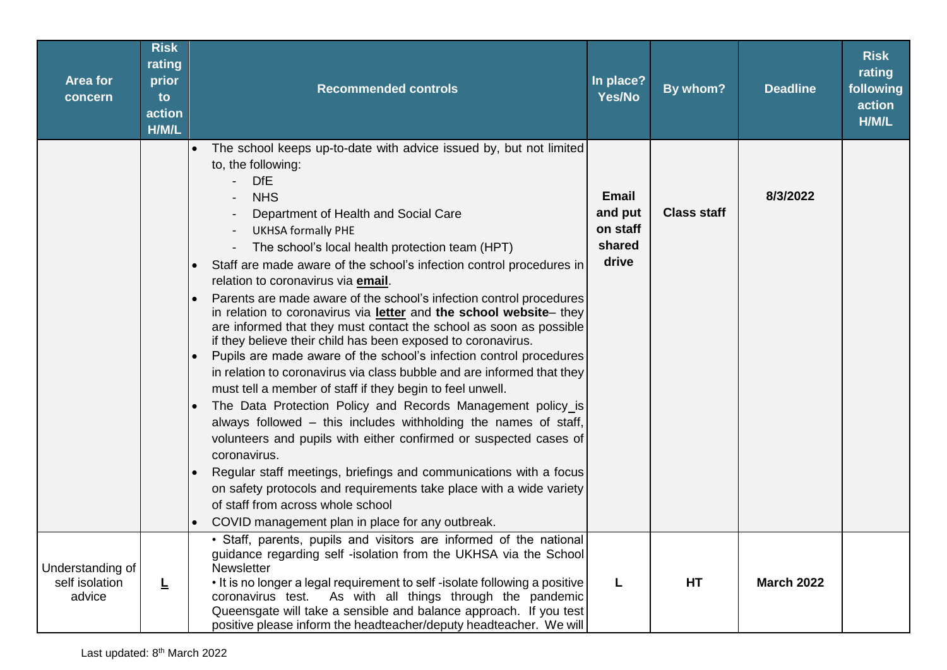| <b>Area for</b><br>concern                   | <b>Risk</b><br>rating<br>prior<br>to<br>action<br>H/M/L | <b>Recommended controls</b>                                                                                                                                                                                                                                                                                                                                                                                                                                                                                                                                                                                                                                                                                                                                                                                                                                                                                                                                                                                                                                                                                                                                                                                                                                                                                                                                                             | In place?<br>Yes/No                                    | By whom?           | <b>Deadline</b>   | <b>Risk</b><br>rating<br>following<br>action<br>H/M/L |
|----------------------------------------------|---------------------------------------------------------|-----------------------------------------------------------------------------------------------------------------------------------------------------------------------------------------------------------------------------------------------------------------------------------------------------------------------------------------------------------------------------------------------------------------------------------------------------------------------------------------------------------------------------------------------------------------------------------------------------------------------------------------------------------------------------------------------------------------------------------------------------------------------------------------------------------------------------------------------------------------------------------------------------------------------------------------------------------------------------------------------------------------------------------------------------------------------------------------------------------------------------------------------------------------------------------------------------------------------------------------------------------------------------------------------------------------------------------------------------------------------------------------|--------------------------------------------------------|--------------------|-------------------|-------------------------------------------------------|
|                                              |                                                         | The school keeps up-to-date with advice issued by, but not limited<br>$\bullet$<br>to, the following:<br><b>DfE</b><br><b>NHS</b><br>Department of Health and Social Care<br><b>UKHSA formally PHE</b><br>The school's local health protection team (HPT)<br>Staff are made aware of the school's infection control procedures in<br>$\bullet$<br>relation to coronavirus via email.<br>Parents are made aware of the school's infection control procedures<br>in relation to coronavirus via letter and the school website- they<br>are informed that they must contact the school as soon as possible<br>if they believe their child has been exposed to coronavirus.<br>Pupils are made aware of the school's infection control procedures<br>$\bullet$<br>in relation to coronavirus via class bubble and are informed that they<br>must tell a member of staff if they begin to feel unwell.<br>The Data Protection Policy and Records Management policy_is<br>$\bullet$<br>always followed – this includes withholding the names of staff,<br>volunteers and pupils with either confirmed or suspected cases of<br>coronavirus.<br>Regular staff meetings, briefings and communications with a focus<br>$\bullet$<br>on safety protocols and requirements take place with a wide variety<br>of staff from across whole school<br>COVID management plan in place for any outbreak. | <b>Email</b><br>and put<br>on staff<br>shared<br>drive | <b>Class staff</b> | 8/3/2022          |                                                       |
| Understanding of<br>self isolation<br>advice | 느                                                       | · Staff, parents, pupils and visitors are informed of the national<br>guidance regarding self -isolation from the UKHSA via the School<br><b>Newsletter</b><br>. It is no longer a legal requirement to self-isolate following a positive<br>coronavirus test. As with all things through the pandemic<br>Queensgate will take a sensible and balance approach. If you test<br>positive please inform the headteacher/deputy headteacher. We will                                                                                                                                                                                                                                                                                                                                                                                                                                                                                                                                                                                                                                                                                                                                                                                                                                                                                                                                       | L                                                      | <b>HT</b>          | <b>March 2022</b> |                                                       |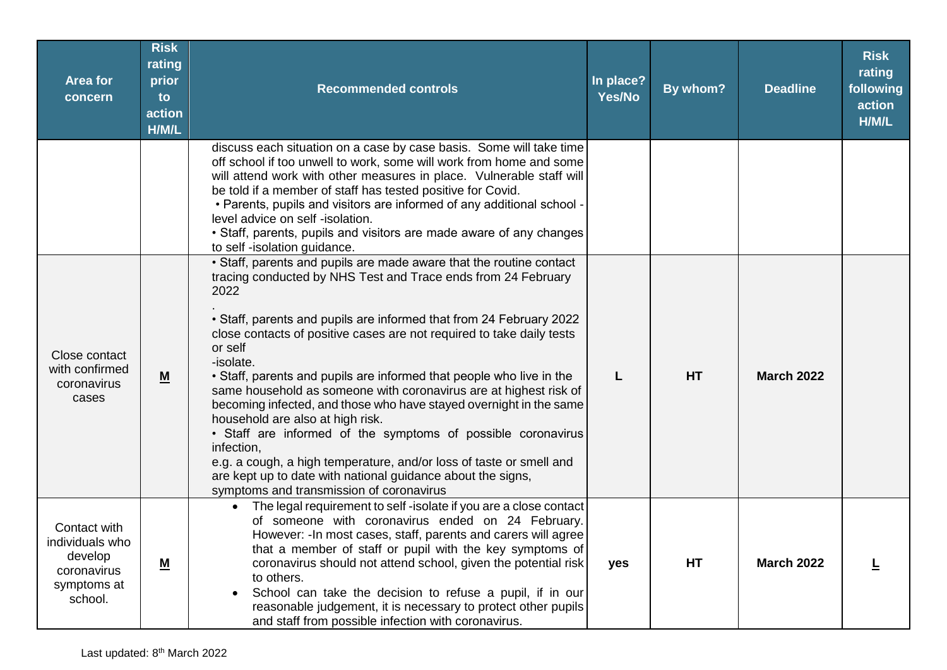| <b>Area for</b><br>concern                                                          | <b>Risk</b><br>rating<br>prior<br>to<br>action<br>H/M/L | <b>Recommended controls</b>                                                                                                                                                                                                                                                                                                                                                                                                                                                                                                                                                                                                                                                                                                                                                                                                                 | In place?<br>Yes/No | By whom? | <b>Deadline</b>   | <b>Risk</b><br>rating<br>following<br>action<br>H/M/L |
|-------------------------------------------------------------------------------------|---------------------------------------------------------|---------------------------------------------------------------------------------------------------------------------------------------------------------------------------------------------------------------------------------------------------------------------------------------------------------------------------------------------------------------------------------------------------------------------------------------------------------------------------------------------------------------------------------------------------------------------------------------------------------------------------------------------------------------------------------------------------------------------------------------------------------------------------------------------------------------------------------------------|---------------------|----------|-------------------|-------------------------------------------------------|
|                                                                                     |                                                         | discuss each situation on a case by case basis. Some will take time<br>off school if too unwell to work, some will work from home and some<br>will attend work with other measures in place. Vulnerable staff will<br>be told if a member of staff has tested positive for Covid.<br>. Parents, pupils and visitors are informed of any additional school -<br>level advice on self -isolation.<br>• Staff, parents, pupils and visitors are made aware of any changes<br>to self-isolation guidance.                                                                                                                                                                                                                                                                                                                                       |                     |          |                   |                                                       |
| Close contact<br>with confirmed<br>coronavirus<br>cases                             | $\underline{\mathsf{M}}$                                | • Staff, parents and pupils are made aware that the routine contact<br>tracing conducted by NHS Test and Trace ends from 24 February<br>2022<br>• Staff, parents and pupils are informed that from 24 February 2022<br>close contacts of positive cases are not required to take daily tests<br>or self<br>-isolate.<br>• Staff, parents and pupils are informed that people who live in the<br>same household as someone with coronavirus are at highest risk of<br>becoming infected, and those who have stayed overnight in the same<br>household are also at high risk.<br>• Staff are informed of the symptoms of possible coronavirus<br>infection,<br>e.g. a cough, a high temperature, and/or loss of taste or smell and<br>are kept up to date with national guidance about the signs,<br>symptoms and transmission of coronavirus |                     | HT       | <b>March 2022</b> |                                                       |
| Contact with<br>individuals who<br>develop<br>coronavirus<br>symptoms at<br>school. | <u>M</u>                                                | The legal requirement to self-isolate if you are a close contact<br>$\bullet$<br>of someone with coronavirus ended on 24 February.<br>However: - In most cases, staff, parents and carers will agree<br>that a member of staff or pupil with the key symptoms of<br>coronavirus should not attend school, given the potential risk<br>to others.<br>School can take the decision to refuse a pupil, if in our<br>$\bullet$<br>reasonable judgement, it is necessary to protect other pupils<br>and staff from possible infection with coronavirus.                                                                                                                                                                                                                                                                                          | yes                 | HT       | <b>March 2022</b> |                                                       |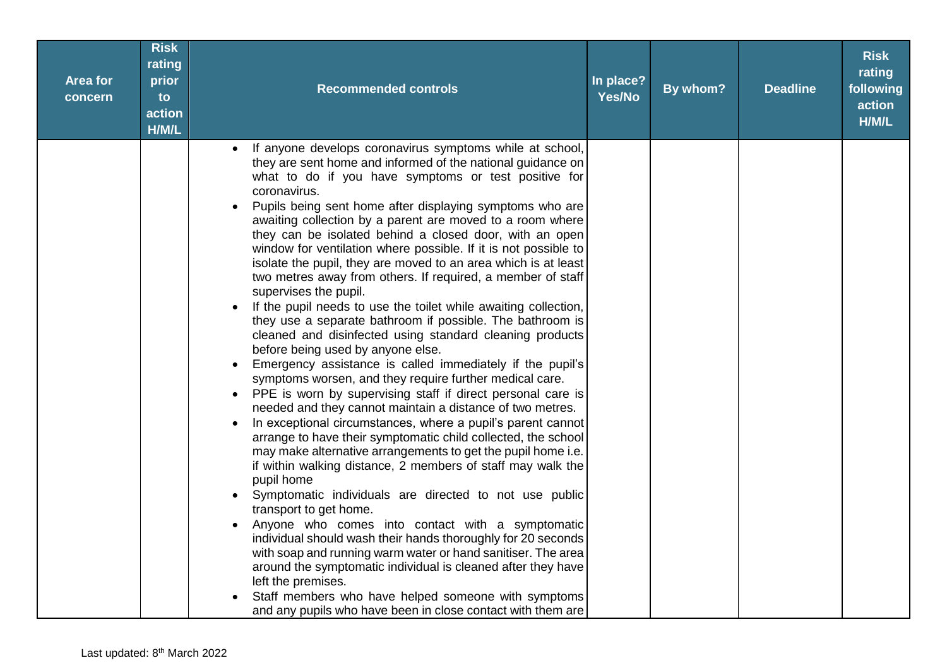| <b>Area for</b><br>concern | <b>Risk</b><br>rating<br>prior<br>to<br>action<br>H/M/L | <b>Recommended controls</b>                                                                                                                                                                                                                                                                                                                                                                                                                                                                                                                                                                                                                                                                                                                                                                                                                                                                                                                                                                                                                                                                                                                                                                                                                                                                                                                                                                                                                                                                                                                                                                                                                                                                                                                                                                                                                                                         | In place?<br>Yes/No | By whom? | <b>Deadline</b> | <b>Risk</b><br>rating<br>following<br>action<br>H/M/L |
|----------------------------|---------------------------------------------------------|-------------------------------------------------------------------------------------------------------------------------------------------------------------------------------------------------------------------------------------------------------------------------------------------------------------------------------------------------------------------------------------------------------------------------------------------------------------------------------------------------------------------------------------------------------------------------------------------------------------------------------------------------------------------------------------------------------------------------------------------------------------------------------------------------------------------------------------------------------------------------------------------------------------------------------------------------------------------------------------------------------------------------------------------------------------------------------------------------------------------------------------------------------------------------------------------------------------------------------------------------------------------------------------------------------------------------------------------------------------------------------------------------------------------------------------------------------------------------------------------------------------------------------------------------------------------------------------------------------------------------------------------------------------------------------------------------------------------------------------------------------------------------------------------------------------------------------------------------------------------------------------|---------------------|----------|-----------------|-------------------------------------------------------|
|                            |                                                         | If anyone develops coronavirus symptoms while at school,<br>they are sent home and informed of the national guidance on<br>what to do if you have symptoms or test positive for<br>coronavirus.<br>Pupils being sent home after displaying symptoms who are<br>awaiting collection by a parent are moved to a room where<br>they can be isolated behind a closed door, with an open<br>window for ventilation where possible. If it is not possible to<br>isolate the pupil, they are moved to an area which is at least<br>two metres away from others. If required, a member of staff<br>supervises the pupil.<br>If the pupil needs to use the toilet while awaiting collection,<br>they use a separate bathroom if possible. The bathroom is<br>cleaned and disinfected using standard cleaning products<br>before being used by anyone else.<br>Emergency assistance is called immediately if the pupil's<br>symptoms worsen, and they require further medical care.<br>PPE is worn by supervising staff if direct personal care is<br>needed and they cannot maintain a distance of two metres.<br>In exceptional circumstances, where a pupil's parent cannot<br>arrange to have their symptomatic child collected, the school<br>may make alternative arrangements to get the pupil home i.e.<br>if within walking distance, 2 members of staff may walk the<br>pupil home<br>Symptomatic individuals are directed to not use public<br>transport to get home.<br>Anyone who comes into contact with a symptomatic<br>$\bullet$<br>individual should wash their hands thoroughly for 20 seconds<br>with soap and running warm water or hand sanitiser. The area<br>around the symptomatic individual is cleaned after they have<br>left the premises.<br>Staff members who have helped someone with symptoms<br>and any pupils who have been in close contact with them are |                     |          |                 |                                                       |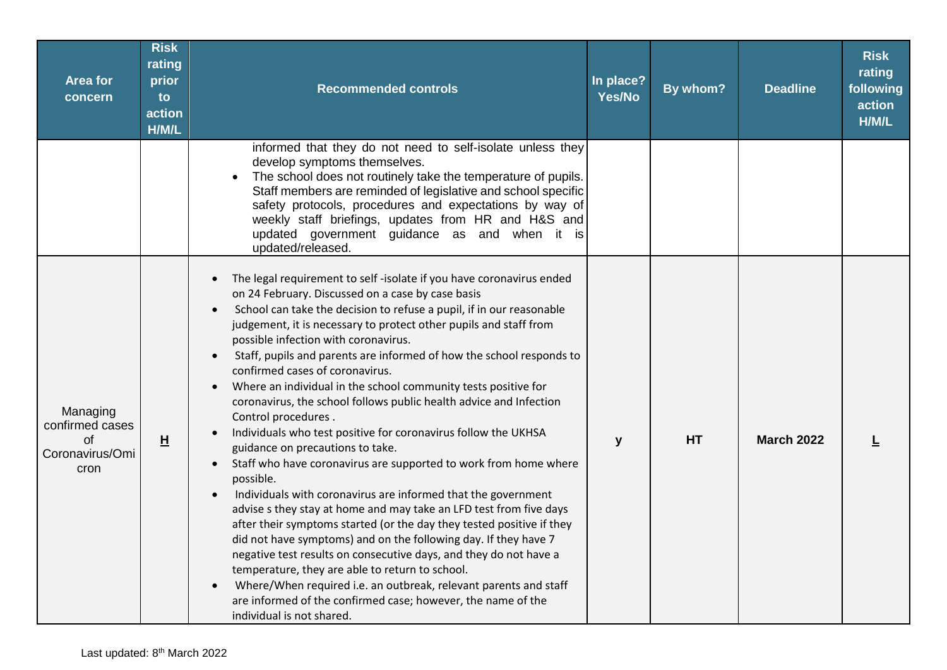| <b>Area for</b><br>concern                                   | <b>Risk</b><br>rating<br>prior<br>to<br>action<br>H/M/L | <b>Recommended controls</b>                                                                                                                                                                                                                                                                                                                                                                                                                                                                                                                                                                                                                                                                                                                                                                                                                                                                                                                                                                                                                                                                                                                                                                                                                                                                                                                                                                                                                           | In place?<br>Yes/No | By whom?  | <b>Deadline</b>   | <b>Risk</b><br>rating<br>following<br>action<br>H/M/L |
|--------------------------------------------------------------|---------------------------------------------------------|-------------------------------------------------------------------------------------------------------------------------------------------------------------------------------------------------------------------------------------------------------------------------------------------------------------------------------------------------------------------------------------------------------------------------------------------------------------------------------------------------------------------------------------------------------------------------------------------------------------------------------------------------------------------------------------------------------------------------------------------------------------------------------------------------------------------------------------------------------------------------------------------------------------------------------------------------------------------------------------------------------------------------------------------------------------------------------------------------------------------------------------------------------------------------------------------------------------------------------------------------------------------------------------------------------------------------------------------------------------------------------------------------------------------------------------------------------|---------------------|-----------|-------------------|-------------------------------------------------------|
|                                                              |                                                         | informed that they do not need to self-isolate unless they<br>develop symptoms themselves.<br>The school does not routinely take the temperature of pupils.<br>Staff members are reminded of legislative and school specific<br>safety protocols, procedures and expectations by way of<br>weekly staff briefings, updates from HR and H&S and<br>updated government guidance as and when it is<br>updated/released.                                                                                                                                                                                                                                                                                                                                                                                                                                                                                                                                                                                                                                                                                                                                                                                                                                                                                                                                                                                                                                  |                     |           |                   |                                                       |
| Managing<br>confirmed cases<br>Ωf<br>Coronavirus/Omi<br>cron | H                                                       | The legal requirement to self-isolate if you have coronavirus ended<br>$\bullet$<br>on 24 February. Discussed on a case by case basis<br>School can take the decision to refuse a pupil, if in our reasonable<br>$\bullet$<br>judgement, it is necessary to protect other pupils and staff from<br>possible infection with coronavirus.<br>Staff, pupils and parents are informed of how the school responds to<br>$\bullet$<br>confirmed cases of coronavirus.<br>Where an individual in the school community tests positive for<br>$\bullet$<br>coronavirus, the school follows public health advice and Infection<br>Control procedures.<br>Individuals who test positive for coronavirus follow the UKHSA<br>$\bullet$<br>guidance on precautions to take.<br>Staff who have coronavirus are supported to work from home where<br>$\bullet$<br>possible.<br>Individuals with coronavirus are informed that the government<br>$\bullet$<br>advise s they stay at home and may take an LFD test from five days<br>after their symptoms started (or the day they tested positive if they<br>did not have symptoms) and on the following day. If they have 7<br>negative test results on consecutive days, and they do not have a<br>temperature, they are able to return to school.<br>Where/When required i.e. an outbreak, relevant parents and staff<br>are informed of the confirmed case; however, the name of the<br>individual is not shared. | y                   | <b>HT</b> | <b>March 2022</b> |                                                       |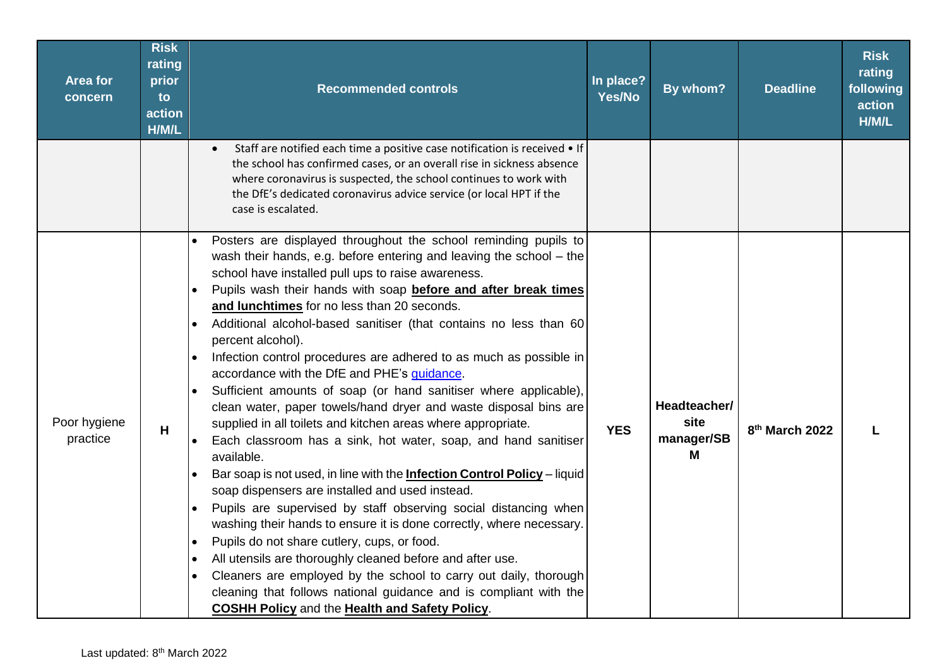| <b>Area for</b><br>concern | <b>Risk</b><br>rating<br>prior<br>to<br>action<br>H/M/L | <b>Recommended controls</b>                                                                                                                                                                                                                                                                                                                                                                                                                                                                                                                                                                                                                                                                                                                                                                                                                                                                                                                                                                                                                                                                                                                                                                                                                                                                                                                                                                                                                                                                                                 | In place?<br>Yes/No | By whom?                                | <b>Deadline</b>            | <b>Risk</b><br>rating<br>following<br>action<br>H/M/L |
|----------------------------|---------------------------------------------------------|-----------------------------------------------------------------------------------------------------------------------------------------------------------------------------------------------------------------------------------------------------------------------------------------------------------------------------------------------------------------------------------------------------------------------------------------------------------------------------------------------------------------------------------------------------------------------------------------------------------------------------------------------------------------------------------------------------------------------------------------------------------------------------------------------------------------------------------------------------------------------------------------------------------------------------------------------------------------------------------------------------------------------------------------------------------------------------------------------------------------------------------------------------------------------------------------------------------------------------------------------------------------------------------------------------------------------------------------------------------------------------------------------------------------------------------------------------------------------------------------------------------------------------|---------------------|-----------------------------------------|----------------------------|-------------------------------------------------------|
|                            |                                                         | Staff are notified each time a positive case notification is received • If<br>$\bullet$<br>the school has confirmed cases, or an overall rise in sickness absence<br>where coronavirus is suspected, the school continues to work with<br>the DfE's dedicated coronavirus advice service (or local HPT if the<br>case is escalated.                                                                                                                                                                                                                                                                                                                                                                                                                                                                                                                                                                                                                                                                                                                                                                                                                                                                                                                                                                                                                                                                                                                                                                                         |                     |                                         |                            |                                                       |
| Poor hygiene<br>practice   | H                                                       | Posters are displayed throughout the school reminding pupils to<br>wash their hands, e.g. before entering and leaving the school - the<br>school have installed pull ups to raise awareness.<br>Pupils wash their hands with soap before and after break times<br>$\bullet$<br>and lunchtimes for no less than 20 seconds.<br>Additional alcohol-based sanitiser (that contains no less than 60<br>percent alcohol).<br>Infection control procedures are adhered to as much as possible in<br>$\bullet$<br>accordance with the DfE and PHE's guidance.<br>Sufficient amounts of soap (or hand sanitiser where applicable),<br>$\bullet$<br>clean water, paper towels/hand dryer and waste disposal bins are<br>supplied in all toilets and kitchen areas where appropriate.<br>Each classroom has a sink, hot water, soap, and hand sanitiser<br>available.<br>Bar soap is not used, in line with the <b>Infection Control Policy</b> - liquid<br>$\bullet$<br>soap dispensers are installed and used instead.<br>Pupils are supervised by staff observing social distancing when<br>$\bullet$<br>washing their hands to ensure it is done correctly, where necessary.<br>Pupils do not share cutlery, cups, or food.<br>$\bullet$<br>All utensils are thoroughly cleaned before and after use.<br>$\bullet$<br>Cleaners are employed by the school to carry out daily, thorough<br>$\bullet$<br>cleaning that follows national guidance and is compliant with the<br><b>COSHH Policy and the Health and Safety Policy.</b> | <b>YES</b>          | Headteacher/<br>site<br>manager/SB<br>M | 8 <sup>th</sup> March 2022 |                                                       |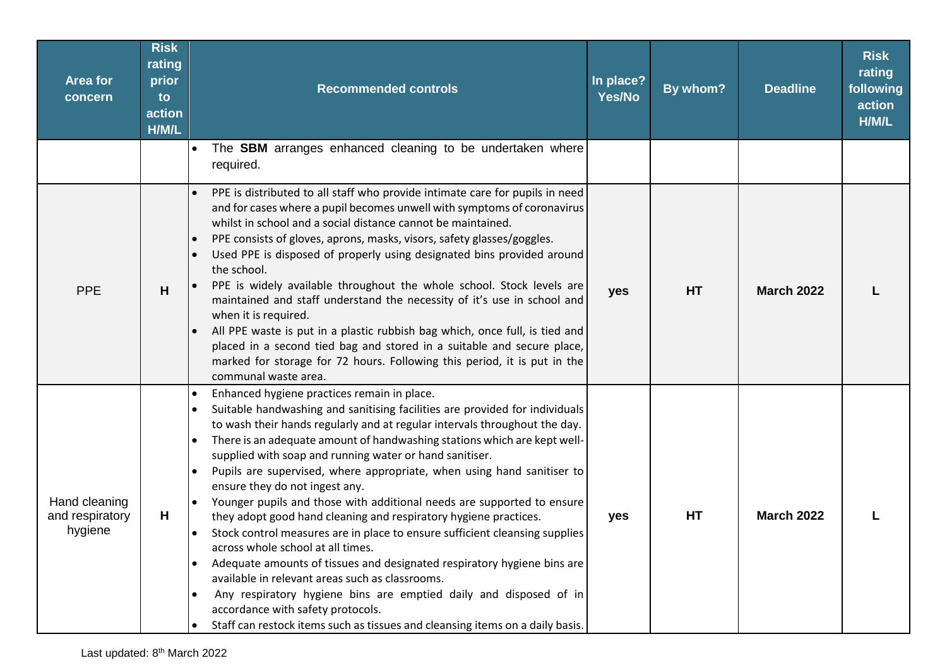| <b>Area for</b><br>concern                  | <b>Risk</b><br>rating<br>prior<br>to<br>action<br>H/M/L | <b>Recommended controls</b>                                                                                                                                                                                                                                                                                                                                                                                                                                                                                                                                                                                                                                                                                                                                                                                                                                                                                                                                                                                                                                                                                                                       | In place?<br>Yes/No | By whom? | <b>Deadline</b>   | <b>Risk</b><br>rating<br>following<br>action<br>H/M/L |
|---------------------------------------------|---------------------------------------------------------|---------------------------------------------------------------------------------------------------------------------------------------------------------------------------------------------------------------------------------------------------------------------------------------------------------------------------------------------------------------------------------------------------------------------------------------------------------------------------------------------------------------------------------------------------------------------------------------------------------------------------------------------------------------------------------------------------------------------------------------------------------------------------------------------------------------------------------------------------------------------------------------------------------------------------------------------------------------------------------------------------------------------------------------------------------------------------------------------------------------------------------------------------|---------------------|----------|-------------------|-------------------------------------------------------|
|                                             |                                                         | The SBM arranges enhanced cleaning to be undertaken where<br>$\bullet$<br>required.                                                                                                                                                                                                                                                                                                                                                                                                                                                                                                                                                                                                                                                                                                                                                                                                                                                                                                                                                                                                                                                               |                     |          |                   |                                                       |
| <b>PPE</b>                                  | H                                                       | PPE is distributed to all staff who provide intimate care for pupils in need<br>and for cases where a pupil becomes unwell with symptoms of coronavirus<br>whilst in school and a social distance cannot be maintained.<br>PPE consists of gloves, aprons, masks, visors, safety glasses/goggles.<br>Used PPE is disposed of properly using designated bins provided around<br>the school.<br>PPE is widely available throughout the whole school. Stock levels are<br>maintained and staff understand the necessity of it's use in school and<br>when it is required.<br>All PPE waste is put in a plastic rubbish bag which, once full, is tied and<br>placed in a second tied bag and stored in a suitable and secure place,<br>marked for storage for 72 hours. Following this period, it is put in the<br>communal waste area.                                                                                                                                                                                                                                                                                                               | yes                 | HT       | <b>March 2022</b> |                                                       |
| Hand cleaning<br>and respiratory<br>hygiene | н                                                       | Enhanced hygiene practices remain in place.<br>$\bullet$<br>Suitable handwashing and sanitising facilities are provided for individuals<br>to wash their hands regularly and at regular intervals throughout the day.<br>There is an adequate amount of handwashing stations which are kept well-<br>$\bullet$<br>supplied with soap and running water or hand sanitiser.<br>Pupils are supervised, where appropriate, when using hand sanitiser to<br>$\bullet$<br>ensure they do not ingest any.<br>Younger pupils and those with additional needs are supported to ensure<br>$\bullet$<br>they adopt good hand cleaning and respiratory hygiene practices.<br>Stock control measures are in place to ensure sufficient cleansing supplies<br>$\bullet$<br>across whole school at all times.<br>Adequate amounts of tissues and designated respiratory hygiene bins are<br>available in relevant areas such as classrooms.<br>Any respiratory hygiene bins are emptied daily and disposed of in<br>$\bullet$<br>accordance with safety protocols.<br>Staff can restock items such as tissues and cleansing items on a daily basis.<br>$\bullet$ | yes                 | HT       | <b>March 2022</b> |                                                       |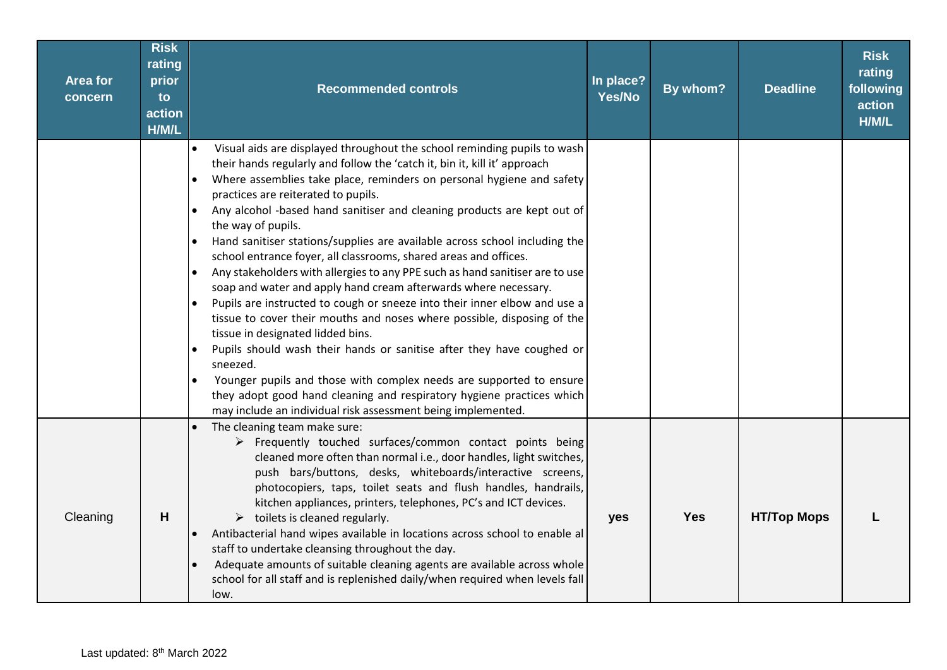| <b>Area for</b><br>concern | <b>Risk</b><br>rating<br>prior<br>to<br>action<br>H/M/L | <b>Recommended controls</b>                                                                                                                                                                                                                                                                                                                                                                                                                                                                                                                                                                                                                                                                                                                                                                                                                                                                                                                                                                                                                                                                                                                                                                             | In place?<br>Yes/No | By whom?   | <b>Deadline</b>    | <b>Risk</b><br>rating<br>following<br>action<br>H/M/L |
|----------------------------|---------------------------------------------------------|---------------------------------------------------------------------------------------------------------------------------------------------------------------------------------------------------------------------------------------------------------------------------------------------------------------------------------------------------------------------------------------------------------------------------------------------------------------------------------------------------------------------------------------------------------------------------------------------------------------------------------------------------------------------------------------------------------------------------------------------------------------------------------------------------------------------------------------------------------------------------------------------------------------------------------------------------------------------------------------------------------------------------------------------------------------------------------------------------------------------------------------------------------------------------------------------------------|---------------------|------------|--------------------|-------------------------------------------------------|
|                            |                                                         | Visual aids are displayed throughout the school reminding pupils to wash<br>$\bullet$<br>their hands regularly and follow the 'catch it, bin it, kill it' approach<br>Where assemblies take place, reminders on personal hygiene and safety<br>practices are reiterated to pupils.<br>Any alcohol -based hand sanitiser and cleaning products are kept out of<br>the way of pupils.<br>Hand sanitiser stations/supplies are available across school including the<br>school entrance foyer, all classrooms, shared areas and offices.<br>Any stakeholders with allergies to any PPE such as hand sanitiser are to use<br>soap and water and apply hand cream afterwards where necessary.<br>Pupils are instructed to cough or sneeze into their inner elbow and use a<br>tissue to cover their mouths and noses where possible, disposing of the<br>tissue in designated lidded bins.<br>Pupils should wash their hands or sanitise after they have coughed or<br>sneezed.<br>Younger pupils and those with complex needs are supported to ensure<br>$\bullet$<br>they adopt good hand cleaning and respiratory hygiene practices which<br>may include an individual risk assessment being implemented. |                     |            |                    |                                                       |
| Cleaning                   | H                                                       | The cleaning team make sure:<br>$\bullet$<br>> Frequently touched surfaces/common contact points being<br>cleaned more often than normal i.e., door handles, light switches,<br>push bars/buttons, desks, whiteboards/interactive screens,<br>photocopiers, taps, toilet seats and flush handles, handrails,<br>kitchen appliances, printers, telephones, PC's and ICT devices.<br>$\triangleright$ toilets is cleaned regularly.<br>Antibacterial hand wipes available in locations across school to enable al<br>$\bullet$<br>staff to undertake cleansing throughout the day.<br>Adequate amounts of suitable cleaning agents are available across whole<br>school for all staff and is replenished daily/when required when levels fall<br>low.                                                                                                                                                                                                                                                                                                                                                                                                                                                     | yes                 | <b>Yes</b> | <b>HT/Top Mops</b> |                                                       |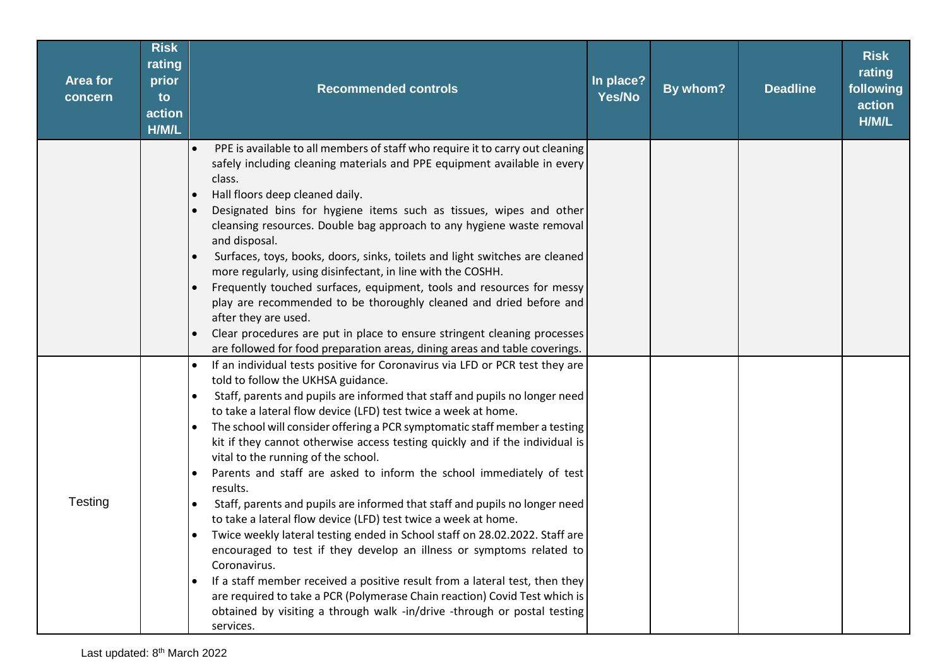| <b>Area for</b><br>concern | <b>Risk</b><br>rating<br>prior<br>to<br>action<br>H/M/L | <b>Recommended controls</b>                                                                                                                                                                                                                                                                                                                                                                                                                                                                                                                                                                                                                                                                                                                                                                                                                                                                                                                                                                                                                                                                                                                                                                    | In place?<br>Yes/No | By whom? | <b>Deadline</b> | <b>Risk</b><br>rating<br>following<br>action<br>H/M/L |
|----------------------------|---------------------------------------------------------|------------------------------------------------------------------------------------------------------------------------------------------------------------------------------------------------------------------------------------------------------------------------------------------------------------------------------------------------------------------------------------------------------------------------------------------------------------------------------------------------------------------------------------------------------------------------------------------------------------------------------------------------------------------------------------------------------------------------------------------------------------------------------------------------------------------------------------------------------------------------------------------------------------------------------------------------------------------------------------------------------------------------------------------------------------------------------------------------------------------------------------------------------------------------------------------------|---------------------|----------|-----------------|-------------------------------------------------------|
|                            |                                                         | PPE is available to all members of staff who require it to carry out cleaning<br>safely including cleaning materials and PPE equipment available in every<br>class.<br>Hall floors deep cleaned daily.<br>$\bullet$<br>Designated bins for hygiene items such as tissues, wipes and other<br>cleansing resources. Double bag approach to any hygiene waste removal<br>and disposal.<br>Surfaces, toys, books, doors, sinks, toilets and light switches are cleaned<br>more regularly, using disinfectant, in line with the COSHH.<br>Frequently touched surfaces, equipment, tools and resources for messy<br>play are recommended to be thoroughly cleaned and dried before and<br>after they are used.<br>Clear procedures are put in place to ensure stringent cleaning processes<br>are followed for food preparation areas, dining areas and table coverings.                                                                                                                                                                                                                                                                                                                             |                     |          |                 |                                                       |
| Testing                    |                                                         | If an individual tests positive for Coronavirus via LFD or PCR test they are<br>told to follow the UKHSA guidance.<br>Staff, parents and pupils are informed that staff and pupils no longer need<br>to take a lateral flow device (LFD) test twice a week at home.<br>The school will consider offering a PCR symptomatic staff member a testing<br>$\bullet$<br>kit if they cannot otherwise access testing quickly and if the individual is<br>vital to the running of the school.<br>Parents and staff are asked to inform the school immediately of test<br>$\bullet$<br>results.<br>Staff, parents and pupils are informed that staff and pupils no longer need<br>to take a lateral flow device (LFD) test twice a week at home.<br>Twice weekly lateral testing ended in School staff on 28.02.2022. Staff are<br>$\bullet$<br>encouraged to test if they develop an illness or symptoms related to<br>Coronavirus.<br>If a staff member received a positive result from a lateral test, then they<br>$\bullet$<br>are required to take a PCR (Polymerase Chain reaction) Covid Test which is<br>obtained by visiting a through walk -in/drive -through or postal testing<br>services. |                     |          |                 |                                                       |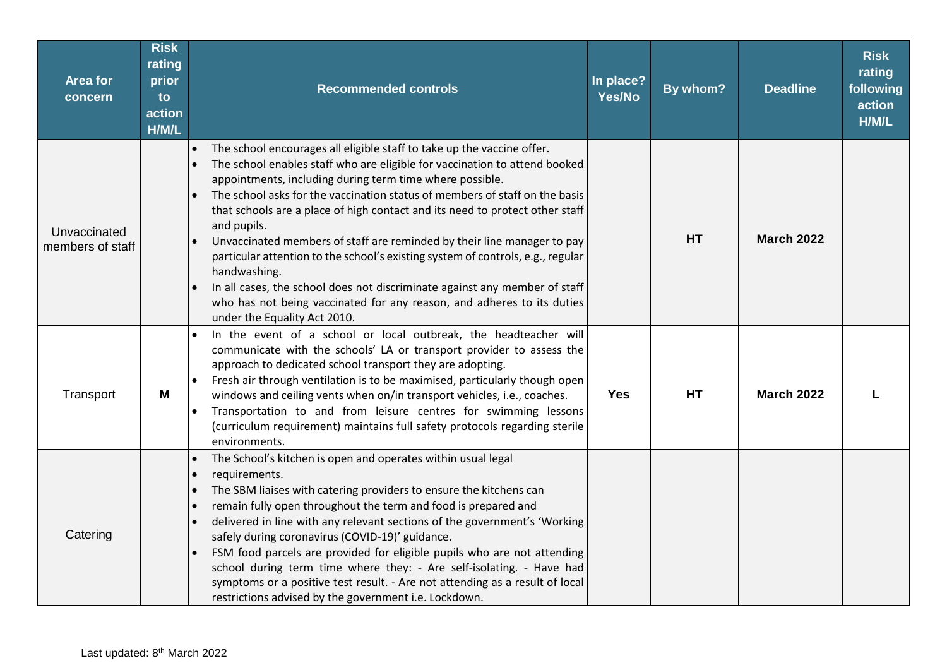| <b>Area for</b><br>concern       | <b>Risk</b><br>rating<br>prior<br><b>to</b><br>action<br>H/M/L | <b>Recommended controls</b>                                                                                                                                                                                                                                                                                                                                                                                                                                                                                                                                                                                                                                                                                                                                                                    | In place?<br>Yes/No | By whom?  | <b>Deadline</b>   | <b>Risk</b><br>rating<br>following<br>action<br>H/M/L |
|----------------------------------|----------------------------------------------------------------|------------------------------------------------------------------------------------------------------------------------------------------------------------------------------------------------------------------------------------------------------------------------------------------------------------------------------------------------------------------------------------------------------------------------------------------------------------------------------------------------------------------------------------------------------------------------------------------------------------------------------------------------------------------------------------------------------------------------------------------------------------------------------------------------|---------------------|-----------|-------------------|-------------------------------------------------------|
| Unvaccinated<br>members of staff |                                                                | The school encourages all eligible staff to take up the vaccine offer.<br>$\bullet$<br>The school enables staff who are eligible for vaccination to attend booked<br>$\bullet$<br>appointments, including during term time where possible.<br>The school asks for the vaccination status of members of staff on the basis<br>that schools are a place of high contact and its need to protect other staff<br>and pupils.<br>Unvaccinated members of staff are reminded by their line manager to pay<br>particular attention to the school's existing system of controls, e.g., regular<br>handwashing.<br>In all cases, the school does not discriminate against any member of staff<br>who has not being vaccinated for any reason, and adheres to its duties<br>under the Equality Act 2010. |                     | <b>HT</b> | <b>March 2022</b> |                                                       |
| Transport                        | M                                                              | In the event of a school or local outbreak, the headteacher will<br>communicate with the schools' LA or transport provider to assess the<br>approach to dedicated school transport they are adopting.<br>Fresh air through ventilation is to be maximised, particularly though open<br>$\bullet$<br>windows and ceiling vents when on/in transport vehicles, i.e., coaches.<br>Transportation to and from leisure centres for swimming lessons<br>(curriculum requirement) maintains full safety protocols regarding sterile<br>environments.                                                                                                                                                                                                                                                  | <b>Yes</b>          | <b>HT</b> | <b>March 2022</b> |                                                       |
| Catering                         |                                                                | The School's kitchen is open and operates within usual legal<br>$\bullet$<br>requirements.<br>$\bullet$<br>The SBM liaises with catering providers to ensure the kitchens can<br>$\bullet$<br>remain fully open throughout the term and food is prepared and<br>delivered in line with any relevant sections of the government's 'Working<br>safely during coronavirus (COVID-19)' guidance.<br>FSM food parcels are provided for eligible pupils who are not attending<br>school during term time where they: - Are self-isolating. - Have had<br>symptoms or a positive test result. - Are not attending as a result of local<br>restrictions advised by the government i.e. Lockdown.                                                                                                       |                     |           |                   |                                                       |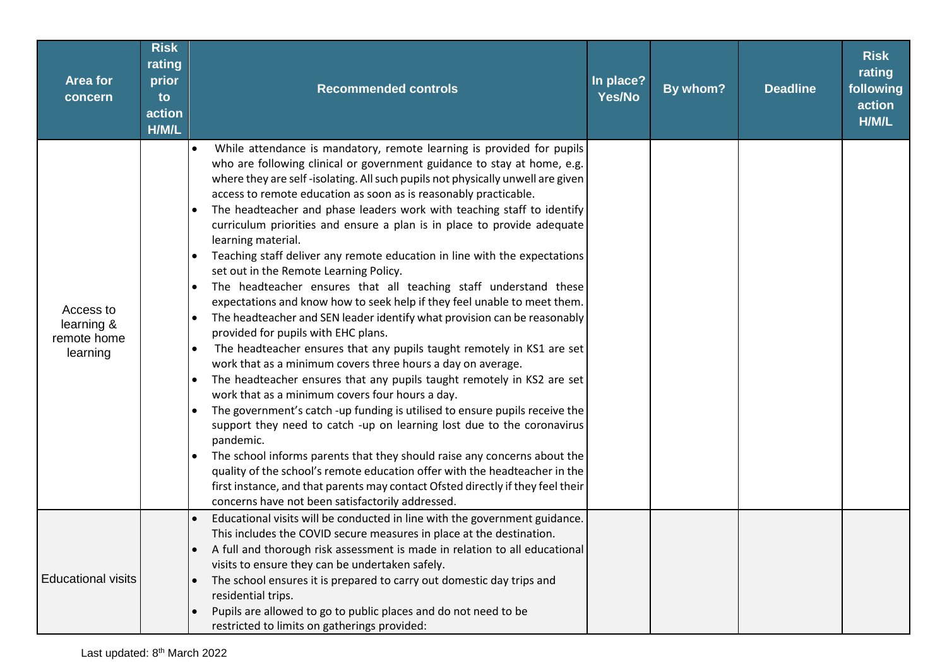| <b>Area for</b><br>concern                         | <b>Risk</b><br>rating<br>prior<br>to<br>action<br>H/M/L | <b>Recommended controls</b>                                                                                                                                                                                                                                                                                                                                                                                                                                                                                                                                                                                                                                                                                                                                                                                                                                                                                                                                                                                                                                                                                                                                                                                                                                                                                                                                                                                                                                                                                                                                                                                                                                                                            | In place?<br>Yes/No | By whom? | <b>Deadline</b> | <b>Risk</b><br>rating<br>following<br>action<br>H/M/L |
|----------------------------------------------------|---------------------------------------------------------|--------------------------------------------------------------------------------------------------------------------------------------------------------------------------------------------------------------------------------------------------------------------------------------------------------------------------------------------------------------------------------------------------------------------------------------------------------------------------------------------------------------------------------------------------------------------------------------------------------------------------------------------------------------------------------------------------------------------------------------------------------------------------------------------------------------------------------------------------------------------------------------------------------------------------------------------------------------------------------------------------------------------------------------------------------------------------------------------------------------------------------------------------------------------------------------------------------------------------------------------------------------------------------------------------------------------------------------------------------------------------------------------------------------------------------------------------------------------------------------------------------------------------------------------------------------------------------------------------------------------------------------------------------------------------------------------------------|---------------------|----------|-----------------|-------------------------------------------------------|
| Access to<br>learning &<br>remote home<br>learning |                                                         | While attendance is mandatory, remote learning is provided for pupils<br>$\bullet$<br>who are following clinical or government guidance to stay at home, e.g.<br>where they are self-isolating. All such pupils not physically unwell are given<br>access to remote education as soon as is reasonably practicable.<br>The headteacher and phase leaders work with teaching staff to identify<br>$\bullet$<br>curriculum priorities and ensure a plan is in place to provide adequate<br>learning material.<br>Teaching staff deliver any remote education in line with the expectations<br>$\bullet$<br>set out in the Remote Learning Policy.<br>The headteacher ensures that all teaching staff understand these<br>expectations and know how to seek help if they feel unable to meet them.<br>The headteacher and SEN leader identify what provision can be reasonably<br>$\bullet$<br>provided for pupils with EHC plans.<br>The headteacher ensures that any pupils taught remotely in KS1 are set<br>work that as a minimum covers three hours a day on average.<br>The headteacher ensures that any pupils taught remotely in KS2 are set<br>$\bullet$<br>work that as a minimum covers four hours a day.<br>The government's catch -up funding is utilised to ensure pupils receive the<br>$\bullet$<br>support they need to catch -up on learning lost due to the coronavirus<br>pandemic.<br>The school informs parents that they should raise any concerns about the<br>quality of the school's remote education offer with the headteacher in the<br>first instance, and that parents may contact Ofsted directly if they feel their<br>concerns have not been satisfactorily addressed. |                     |          |                 |                                                       |
| <b>Educational visits</b>                          |                                                         | Educational visits will be conducted in line with the government guidance.<br>This includes the COVID secure measures in place at the destination.<br>A full and thorough risk assessment is made in relation to all educational<br>visits to ensure they can be undertaken safely.<br>The school ensures it is prepared to carry out domestic day trips and<br>$\bullet$<br>residential trips.<br>Pupils are allowed to go to public places and do not need to be<br>restricted to limits on gatherings provided:                                                                                                                                                                                                                                                                                                                                                                                                                                                                                                                                                                                                                                                                                                                                                                                                                                                                                                                                                                                                                                                                                                                                                                                     |                     |          |                 |                                                       |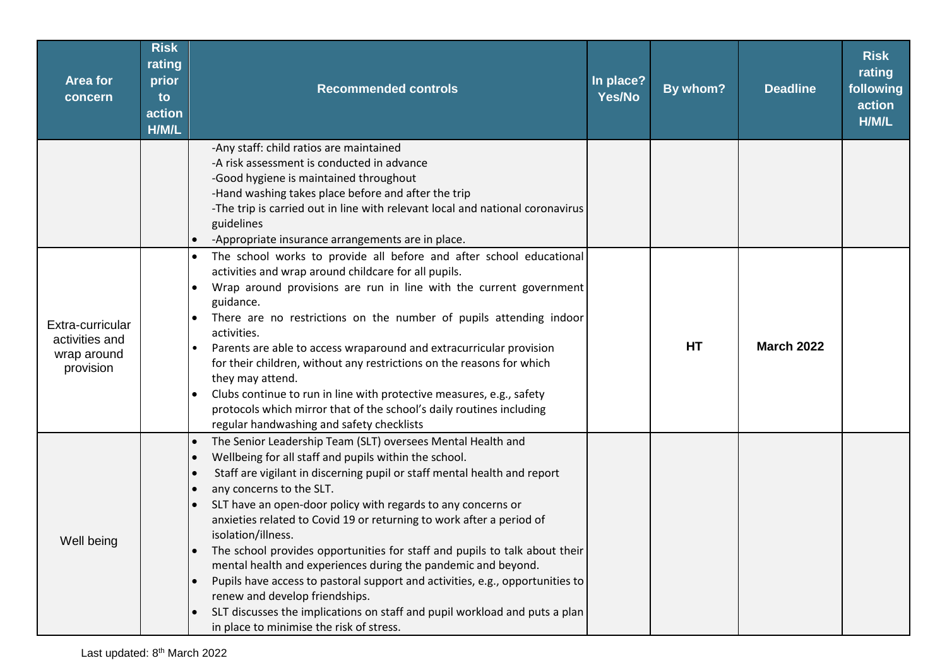| <b>Area for</b><br>concern                                     | <b>Risk</b><br>rating<br>prior<br>to<br>action<br>H/M/L | <b>Recommended controls</b>                                                                                                                                                                                                                                                                                                                                                                                                                                                                                                                                                                                                                                                                                                                                                                                                                | In place?<br>Yes/No | By whom?  | <b>Deadline</b>   | <b>Risk</b><br>rating<br>following<br>action<br>H/M/L |
|----------------------------------------------------------------|---------------------------------------------------------|--------------------------------------------------------------------------------------------------------------------------------------------------------------------------------------------------------------------------------------------------------------------------------------------------------------------------------------------------------------------------------------------------------------------------------------------------------------------------------------------------------------------------------------------------------------------------------------------------------------------------------------------------------------------------------------------------------------------------------------------------------------------------------------------------------------------------------------------|---------------------|-----------|-------------------|-------------------------------------------------------|
|                                                                |                                                         | -Any staff: child ratios are maintained<br>-A risk assessment is conducted in advance<br>-Good hygiene is maintained throughout<br>-Hand washing takes place before and after the trip<br>-The trip is carried out in line with relevant local and national coronavirus<br>guidelines<br>-Appropriate insurance arrangements are in place.                                                                                                                                                                                                                                                                                                                                                                                                                                                                                                 |                     |           |                   |                                                       |
| Extra-curricular<br>activities and<br>wrap around<br>provision |                                                         | The school works to provide all before and after school educational<br>$\bullet$<br>activities and wrap around childcare for all pupils.<br>Wrap around provisions are run in line with the current government<br>guidance.<br>There are no restrictions on the number of pupils attending indoor<br>$\bullet$<br>activities.<br>Parents are able to access wraparound and extracurricular provision<br>for their children, without any restrictions on the reasons for which<br>they may attend.<br>Clubs continue to run in line with protective measures, e.g., safety<br>protocols which mirror that of the school's daily routines including<br>regular handwashing and safety checklists                                                                                                                                             |                     | <b>HT</b> | <b>March 2022</b> |                                                       |
| Well being                                                     |                                                         | The Senior Leadership Team (SLT) oversees Mental Health and<br>$\bullet$<br>Wellbeing for all staff and pupils within the school.<br>$\bullet$<br>Staff are vigilant in discerning pupil or staff mental health and report<br>$\bullet$<br>any concerns to the SLT.<br>SLT have an open-door policy with regards to any concerns or<br>anxieties related to Covid 19 or returning to work after a period of<br>isolation/illness.<br>The school provides opportunities for staff and pupils to talk about their<br>mental health and experiences during the pandemic and beyond.<br>Pupils have access to pastoral support and activities, e.g., opportunities to<br>$\bullet$<br>renew and develop friendships.<br>SLT discusses the implications on staff and pupil workload and puts a plan<br>in place to minimise the risk of stress. |                     |           |                   |                                                       |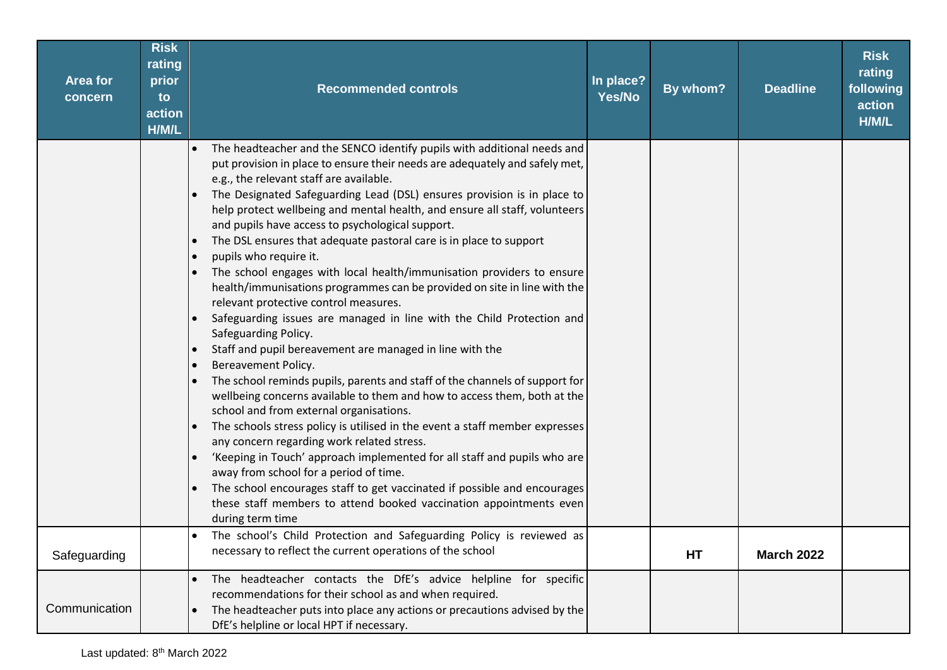| <b>Area for</b><br>concern | <b>Risk</b><br>rating<br>prior<br>to<br>action<br>H/M/L | <b>Recommended controls</b>                                                                                                                                                                                                                                                                                                                                                                                                                                                                                                                                                                                                                                                                                                                                                                                                                                                                                                                                                                                                                                                                                                                                                                                                                                                                                                                                                                                                                                                                                                                                                                                                             | In place?<br>Yes/No | By whom? | <b>Deadline</b>   | <b>Risk</b><br>rating<br>following<br>action<br>H/M/L |
|----------------------------|---------------------------------------------------------|-----------------------------------------------------------------------------------------------------------------------------------------------------------------------------------------------------------------------------------------------------------------------------------------------------------------------------------------------------------------------------------------------------------------------------------------------------------------------------------------------------------------------------------------------------------------------------------------------------------------------------------------------------------------------------------------------------------------------------------------------------------------------------------------------------------------------------------------------------------------------------------------------------------------------------------------------------------------------------------------------------------------------------------------------------------------------------------------------------------------------------------------------------------------------------------------------------------------------------------------------------------------------------------------------------------------------------------------------------------------------------------------------------------------------------------------------------------------------------------------------------------------------------------------------------------------------------------------------------------------------------------------|---------------------|----------|-------------------|-------------------------------------------------------|
|                            |                                                         | The headteacher and the SENCO identify pupils with additional needs and<br>$\bullet$<br>put provision in place to ensure their needs are adequately and safely met,<br>e.g., the relevant staff are available.<br>The Designated Safeguarding Lead (DSL) ensures provision is in place to<br>help protect wellbeing and mental health, and ensure all staff, volunteers<br>and pupils have access to psychological support.<br>The DSL ensures that adequate pastoral care is in place to support<br>$\bullet$<br>pupils who require it.<br>$\bullet$<br>The school engages with local health/immunisation providers to ensure<br>health/immunisations programmes can be provided on site in line with the<br>relevant protective control measures.<br>Safeguarding issues are managed in line with the Child Protection and<br>$\bullet$<br>Safeguarding Policy.<br>Staff and pupil bereavement are managed in line with the<br>$\bullet$<br>Bereavement Policy.<br>$\bullet$<br>The school reminds pupils, parents and staff of the channels of support for<br>wellbeing concerns available to them and how to access them, both at the<br>school and from external organisations.<br>The schools stress policy is utilised in the event a staff member expresses<br>$\bullet$<br>any concern regarding work related stress.<br>'Keeping in Touch' approach implemented for all staff and pupils who are<br>$\bullet$<br>away from school for a period of time.<br>The school encourages staff to get vaccinated if possible and encourages<br>these staff members to attend booked vaccination appointments even<br>during term time |                     |          |                   |                                                       |
| Safeguarding               |                                                         | The school's Child Protection and Safeguarding Policy is reviewed as<br>necessary to reflect the current operations of the school                                                                                                                                                                                                                                                                                                                                                                                                                                                                                                                                                                                                                                                                                                                                                                                                                                                                                                                                                                                                                                                                                                                                                                                                                                                                                                                                                                                                                                                                                                       |                     | HT       | <b>March 2022</b> |                                                       |
| Communication              |                                                         | The headteacher contacts the DfE's advice helpline for specific<br>$\bullet$<br>recommendations for their school as and when required.<br>The headteacher puts into place any actions or precautions advised by the<br>$\bullet$<br>DfE's helpline or local HPT if necessary.                                                                                                                                                                                                                                                                                                                                                                                                                                                                                                                                                                                                                                                                                                                                                                                                                                                                                                                                                                                                                                                                                                                                                                                                                                                                                                                                                           |                     |          |                   |                                                       |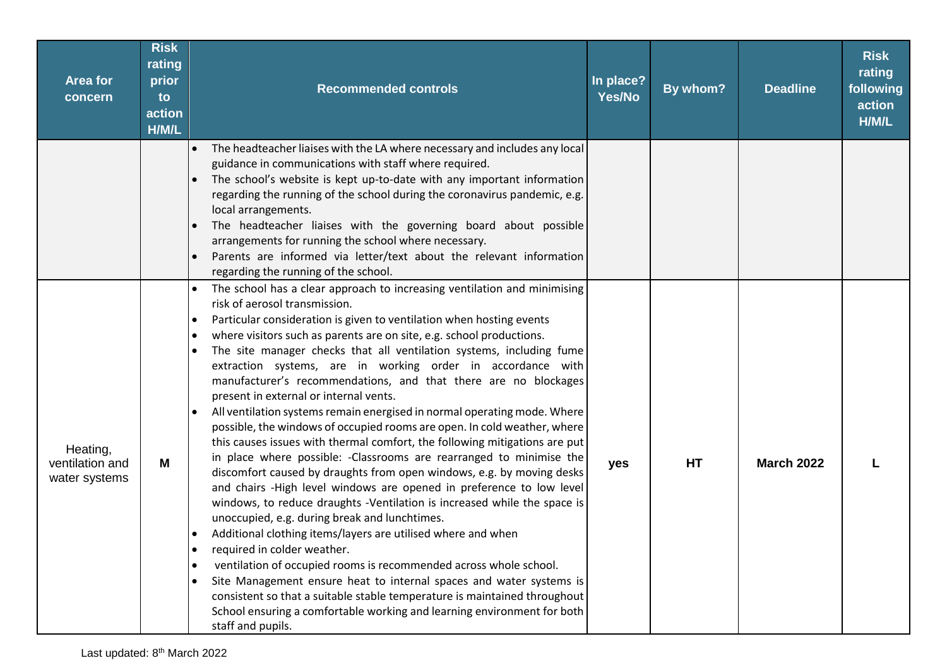| <b>Area for</b><br>concern                   | <b>Risk</b><br>rating<br>prior<br>to<br>action<br>H/M/L | <b>Recommended controls</b>                                                                                                                                                                                                                                                                                                                                                                                                                                                                                                                                                                                                                                                                                                                                                                                                                                                                                                                                                                                                                                                                                                                                                                                                                                                                                                                                                                                                                                                                                                                                                                                                               | In place?<br>Yes/No | By whom? | <b>Deadline</b>   | <b>Risk</b><br>rating<br>following<br>action<br>H/M/L |
|----------------------------------------------|---------------------------------------------------------|-------------------------------------------------------------------------------------------------------------------------------------------------------------------------------------------------------------------------------------------------------------------------------------------------------------------------------------------------------------------------------------------------------------------------------------------------------------------------------------------------------------------------------------------------------------------------------------------------------------------------------------------------------------------------------------------------------------------------------------------------------------------------------------------------------------------------------------------------------------------------------------------------------------------------------------------------------------------------------------------------------------------------------------------------------------------------------------------------------------------------------------------------------------------------------------------------------------------------------------------------------------------------------------------------------------------------------------------------------------------------------------------------------------------------------------------------------------------------------------------------------------------------------------------------------------------------------------------------------------------------------------------|---------------------|----------|-------------------|-------------------------------------------------------|
|                                              |                                                         | The headteacher liaises with the LA where necessary and includes any local<br>$\bullet$<br>guidance in communications with staff where required.<br>The school's website is kept up-to-date with any important information<br>regarding the running of the school during the coronavirus pandemic, e.g.<br>local arrangements.<br>The headteacher liaises with the governing board about possible<br>$\bullet$<br>arrangements for running the school where necessary.<br>Parents are informed via letter/text about the relevant information<br>$\bullet$<br>regarding the running of the school.                                                                                                                                                                                                                                                                                                                                                                                                                                                                                                                                                                                                                                                                                                                                                                                                                                                                                                                                                                                                                                        |                     |          |                   |                                                       |
| Heating,<br>ventilation and<br>water systems | M                                                       | The school has a clear approach to increasing ventilation and minimising<br>risk of aerosol transmission.<br>Particular consideration is given to ventilation when hosting events<br>$\bullet$<br>where visitors such as parents are on site, e.g. school productions.<br>$\bullet$<br>The site manager checks that all ventilation systems, including fume<br>$\bullet$<br>extraction systems, are in working order in accordance with<br>manufacturer's recommendations, and that there are no blockages<br>present in external or internal vents.<br>All ventilation systems remain energised in normal operating mode. Where<br>$\bullet$<br>possible, the windows of occupied rooms are open. In cold weather, where<br>this causes issues with thermal comfort, the following mitigations are put<br>in place where possible: - Classrooms are rearranged to minimise the<br>discomfort caused by draughts from open windows, e.g. by moving desks<br>and chairs -High level windows are opened in preference to low level<br>windows, to reduce draughts -Ventilation is increased while the space is<br>unoccupied, e.g. during break and lunchtimes.<br>Additional clothing items/layers are utilised where and when<br>$\bullet$<br>required in colder weather.<br>$\bullet$<br>ventilation of occupied rooms is recommended across whole school.<br>$\bullet$<br>Site Management ensure heat to internal spaces and water systems is<br>$\bullet$<br>consistent so that a suitable stable temperature is maintained throughout<br>School ensuring a comfortable working and learning environment for both<br>staff and pupils. | yes                 | HT       | <b>March 2022</b> |                                                       |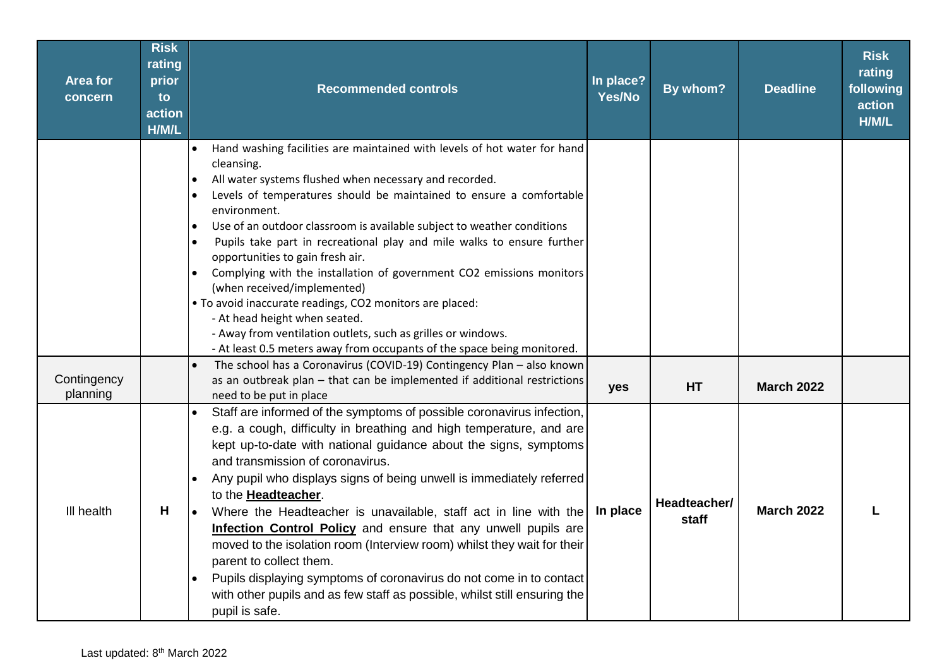| <b>Area for</b><br>concern | <b>Risk</b><br>rating<br>prior<br>to<br>action<br>H/M/L | <b>Recommended controls</b>                                                                                                                                                                                                                                                                                                                                                                                                                                                                                                                                                                                                                                                                                                                                                                                                                                  | In place?<br>Yes/No | By whom?              | <b>Deadline</b>   | <b>Risk</b><br>rating<br>following<br>action<br>H/M/L |
|----------------------------|---------------------------------------------------------|--------------------------------------------------------------------------------------------------------------------------------------------------------------------------------------------------------------------------------------------------------------------------------------------------------------------------------------------------------------------------------------------------------------------------------------------------------------------------------------------------------------------------------------------------------------------------------------------------------------------------------------------------------------------------------------------------------------------------------------------------------------------------------------------------------------------------------------------------------------|---------------------|-----------------------|-------------------|-------------------------------------------------------|
|                            |                                                         | Hand washing facilities are maintained with levels of hot water for hand<br>$\bullet$<br>cleansing.<br>All water systems flushed when necessary and recorded.<br>$\bullet$<br>Levels of temperatures should be maintained to ensure a comfortable<br>$\bullet$<br>environment.<br>Use of an outdoor classroom is available subject to weather conditions<br>$\bullet$<br>Pupils take part in recreational play and mile walks to ensure further<br>$\bullet$<br>opportunities to gain fresh air.<br>Complying with the installation of government CO2 emissions monitors<br>$\bullet$<br>(when received/implemented)<br>. To avoid inaccurate readings, CO2 monitors are placed:<br>- At head height when seated.<br>- Away from ventilation outlets, such as grilles or windows.<br>- At least 0.5 meters away from occupants of the space being monitored. |                     |                       |                   |                                                       |
| Contingency<br>planning    |                                                         | The school has a Coronavirus (COVID-19) Contingency Plan - also known<br>as an outbreak plan - that can be implemented if additional restrictions<br>need to be put in place                                                                                                                                                                                                                                                                                                                                                                                                                                                                                                                                                                                                                                                                                 | yes                 | HT                    | <b>March 2022</b> |                                                       |
| III health                 | H                                                       | Staff are informed of the symptoms of possible coronavirus infection,<br>e.g. a cough, difficulty in breathing and high temperature, and are<br>kept up-to-date with national guidance about the signs, symptoms<br>and transmission of coronavirus.<br>Any pupil who displays signs of being unwell is immediately referred<br>$\bullet$<br>to the <b>Headteacher</b> .<br>Where the Headteacher is unavailable, staff act in line with the<br>Infection Control Policy and ensure that any unwell pupils are<br>moved to the isolation room (Interview room) whilst they wait for their<br>parent to collect them.<br>Pupils displaying symptoms of coronavirus do not come in to contact<br>$\bullet$<br>with other pupils and as few staff as possible, whilst still ensuring the<br>pupil is safe.                                                      | In place            | Headteacher/<br>staff | <b>March 2022</b> |                                                       |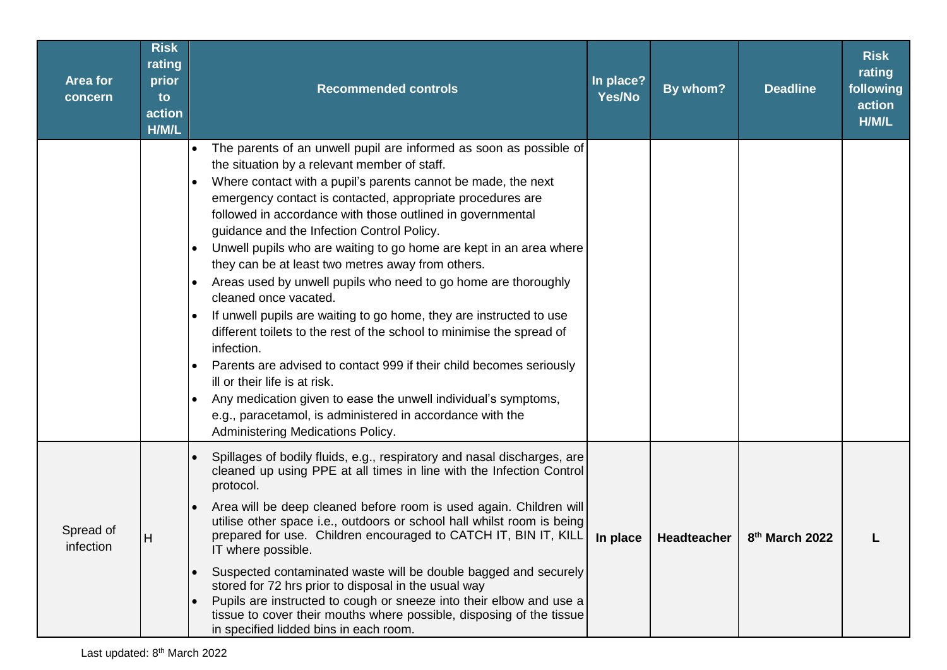| <b>Area for</b><br>concern | <b>Risk</b><br>rating<br>prior<br>to<br>action<br>H/M/L | <b>Recommended controls</b>                                                                                                                                                                                                                                                                                                                                                                                                                                                                                                                                                                                                                                                                                                                                                                                                                                                                                                                                                                                                                                                                                 | In place?<br>Yes/No | By whom?    | <b>Deadline</b>            | <b>Risk</b><br>rating<br>following<br>action<br>H/M/L |
|----------------------------|---------------------------------------------------------|-------------------------------------------------------------------------------------------------------------------------------------------------------------------------------------------------------------------------------------------------------------------------------------------------------------------------------------------------------------------------------------------------------------------------------------------------------------------------------------------------------------------------------------------------------------------------------------------------------------------------------------------------------------------------------------------------------------------------------------------------------------------------------------------------------------------------------------------------------------------------------------------------------------------------------------------------------------------------------------------------------------------------------------------------------------------------------------------------------------|---------------------|-------------|----------------------------|-------------------------------------------------------|
|                            |                                                         | The parents of an unwell pupil are informed as soon as possible of<br>$\bullet$<br>the situation by a relevant member of staff.<br>Where contact with a pupil's parents cannot be made, the next<br>$\bullet$<br>emergency contact is contacted, appropriate procedures are<br>followed in accordance with those outlined in governmental<br>guidance and the Infection Control Policy.<br>Unwell pupils who are waiting to go home are kept in an area where<br>$\bullet$<br>they can be at least two metres away from others.<br>Areas used by unwell pupils who need to go home are thoroughly<br>$\bullet$<br>cleaned once vacated.<br>If unwell pupils are waiting to go home, they are instructed to use<br>different toilets to the rest of the school to minimise the spread of<br>infection.<br>Parents are advised to contact 999 if their child becomes seriously<br>$\bullet$<br>ill or their life is at risk.<br>Any medication given to ease the unwell individual's symptoms,<br>$\bullet$<br>e.g., paracetamol, is administered in accordance with the<br>Administering Medications Policy. |                     |             |                            |                                                       |
| Spread of<br>infection     | H                                                       | Spillages of bodily fluids, e.g., respiratory and nasal discharges, are<br>cleaned up using PPE at all times in line with the Infection Control<br>protocol.<br>Area will be deep cleaned before room is used again. Children will<br>utilise other space i.e., outdoors or school hall whilst room is being<br>prepared for use. Children encouraged to CATCH IT, BIN IT, KILL<br>IT where possible.<br>Suspected contaminated waste will be double bagged and securely<br>$\bullet$<br>stored for 72 hrs prior to disposal in the usual way<br>Pupils are instructed to cough or sneeze into their elbow and use a<br>$\bullet$<br>tissue to cover their mouths where possible, disposing of the tissue<br>in specified lidded bins in each room.                                                                                                                                                                                                                                                                                                                                                         | In place            | Headteacher | 8 <sup>th</sup> March 2022 |                                                       |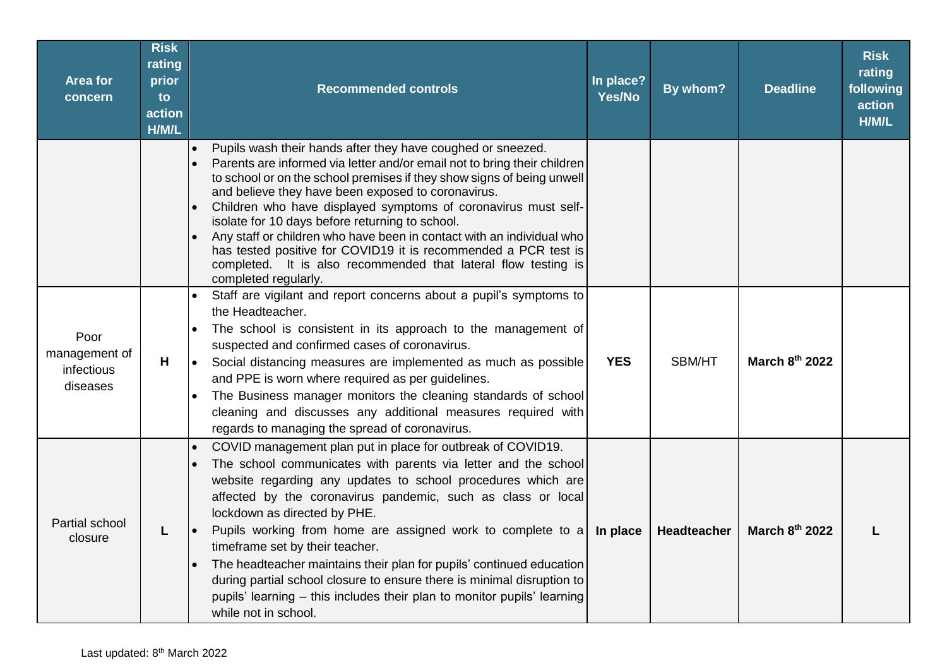| <b>Area for</b><br>concern                      | <b>Risk</b><br>rating<br>prior<br>to<br>action<br>H/M/L | <b>Recommended controls</b>                                                                                                                                                                                                                                                                                                                                                                                                                                                                                                                                                                                                                                                    | In place?<br>Yes/No | By whom?    | <b>Deadline</b> | <b>Risk</b><br>rating<br>following<br>action<br>H/M/L |
|-------------------------------------------------|---------------------------------------------------------|--------------------------------------------------------------------------------------------------------------------------------------------------------------------------------------------------------------------------------------------------------------------------------------------------------------------------------------------------------------------------------------------------------------------------------------------------------------------------------------------------------------------------------------------------------------------------------------------------------------------------------------------------------------------------------|---------------------|-------------|-----------------|-------------------------------------------------------|
|                                                 |                                                         | Pupils wash their hands after they have coughed or sneezed.<br>$\bullet$<br>Parents are informed via letter and/or email not to bring their children<br>to school or on the school premises if they show signs of being unwell<br>and believe they have been exposed to coronavirus.<br>Children who have displayed symptoms of coronavirus must self-<br>isolate for 10 days before returning to school.<br>Any staff or children who have been in contact with an individual who<br>has tested positive for COVID19 it is recommended a PCR test is<br>completed. It is also recommended that lateral flow testing is<br>completed regularly.                                |                     |             |                 |                                                       |
| Poor<br>management of<br>infectious<br>diseases | H                                                       | Staff are vigilant and report concerns about a pupil's symptoms to<br>the Headteacher.<br>The school is consistent in its approach to the management of<br>$\bullet$<br>suspected and confirmed cases of coronavirus.<br>Social distancing measures are implemented as much as possible<br>$\bullet$<br>and PPE is worn where required as per guidelines.<br>The Business manager monitors the cleaning standards of school<br>cleaning and discusses any additional measures required with<br>regards to managing the spread of coronavirus.                                                                                                                                  | <b>YES</b>          | SBM/HT      | March 8th 2022  |                                                       |
| Partial school<br>closure                       | L                                                       | COVID management plan put in place for outbreak of COVID19.<br>$\bullet$<br>The school communicates with parents via letter and the school<br>$\bullet$<br>website regarding any updates to school procedures which are<br>affected by the coronavirus pandemic, such as class or local<br>lockdown as directed by PHE.<br>Pupils working from home are assigned work to complete to a<br>timeframe set by their teacher.<br>The headteacher maintains their plan for pupils' continued education<br>during partial school closure to ensure there is minimal disruption to<br>pupils' learning - this includes their plan to monitor pupils' learning<br>while not in school. | In place            | Headteacher | March 8th 2022  |                                                       |